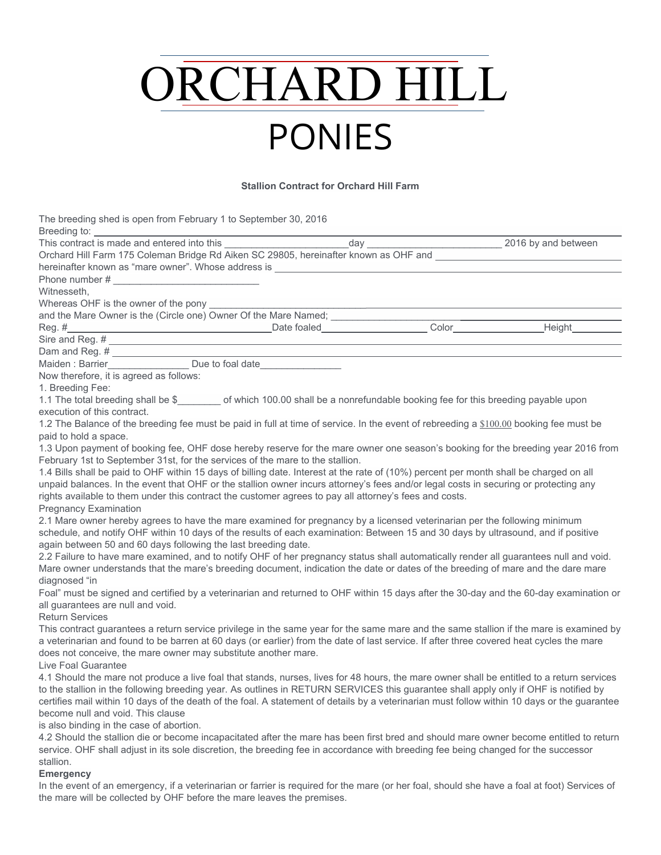# ORCHARD HILL PONIES

#### **Stallion Contract for Orchard Hill Farm**

The breeding shed is open from February 1 to September 30, 2016 Breeding to: This contract is made and entered into this  $\frac{1}{2}$  and  $\frac{1}{2}$  and  $\frac{1}{2}$  and between

| Orchard Hill Farm 175 Coleman Bridge Rd Aiken SC 29805, hereinafter known as OHF and ______________                                                                                                                                                                                  |  |  |
|--------------------------------------------------------------------------------------------------------------------------------------------------------------------------------------------------------------------------------------------------------------------------------------|--|--|
| hereinafter known as "mare owner". Whose address is ____________________________                                                                                                                                                                                                     |  |  |
|                                                                                                                                                                                                                                                                                      |  |  |
| Witnesseth,                                                                                                                                                                                                                                                                          |  |  |
| Whereas OHF is the owner of the pony                                                                                                                                                                                                                                                 |  |  |
|                                                                                                                                                                                                                                                                                      |  |  |
|                                                                                                                                                                                                                                                                                      |  |  |
|                                                                                                                                                                                                                                                                                      |  |  |
|                                                                                                                                                                                                                                                                                      |  |  |
| Maiden: Barrier_________________ Due to foal date                                                                                                                                                                                                                                    |  |  |
| Now therefore, it is agreed as follows:                                                                                                                                                                                                                                              |  |  |
| 1. Breeding Fee:                                                                                                                                                                                                                                                                     |  |  |
| 1.1 The total breeding shall be \$ ________ of which 100.00 shall be a nonrefundable booking fee for this breeding payable upon                                                                                                                                                      |  |  |
| execution of this contract.                                                                                                                                                                                                                                                          |  |  |
| 1.2 The Balance of the breeding fee must be paid in full at time of service. In the event of rebreeding a \$100.00 booking fee must be                                                                                                                                               |  |  |
| paid to hold a space.                                                                                                                                                                                                                                                                |  |  |
| 1.3 Upon payment of booking fee, OHF dose hereby reserve for the mare owner one season's booking for the breeding year 2016 from                                                                                                                                                     |  |  |
| February 1st to September 31st, for the services of the mare to the stallion.                                                                                                                                                                                                        |  |  |
| 1.4 Bills shall be paid to OHF within 15 days of billing date. Interest at the rate of (10%) percent per month shall be charged on all                                                                                                                                               |  |  |
| unpaid balances. In the event that OHF or the stallion owner incurs attorney's fees and/or legal costs in securing or protecting any                                                                                                                                                 |  |  |
| rights available to them under this contract the customer agrees to pay all attorney's fees and costs.                                                                                                                                                                               |  |  |
| <b>Pregnancy Examination</b>                                                                                                                                                                                                                                                         |  |  |
| 2.1 Mare owner hereby agrees to have the mare examined for pregnancy by a licensed veterinarian per the following minimum                                                                                                                                                            |  |  |
| schedule, and notify OHF within 10 days of the results of each examination: Between 15 and 30 days by ultrasound, and if positive                                                                                                                                                    |  |  |
| again between 50 and 60 days following the last breeding date.                                                                                                                                                                                                                       |  |  |
| 2.2 Failure to have mare examined, and to notify OHF of her pregnancy status shall automatically render all guarantees null and void.                                                                                                                                                |  |  |
| Mare owner understands that the mare's breeding document, indication the date or dates of the breeding of mare and the dare mare                                                                                                                                                     |  |  |
| diagnosed "in                                                                                                                                                                                                                                                                        |  |  |
| Foal" must be signed and certified by a veterinarian and returned to OHF within 15 days after the 30-day and the 60-day examination or                                                                                                                                               |  |  |
| all guarantees are null and void.                                                                                                                                                                                                                                                    |  |  |
| <b>Return Services</b>                                                                                                                                                                                                                                                               |  |  |
| This contract guarantees a return service privilege in the same year for the same mare and the same stallion if the mare is examined by                                                                                                                                              |  |  |
| a veterinarian and found to be barren at 60 days (or earlier) from the date of last service. If after three covered heat cycles the mare                                                                                                                                             |  |  |
| does not conceive, the mare owner may substitute another mare.<br>Live Foal Guarantee                                                                                                                                                                                                |  |  |
|                                                                                                                                                                                                                                                                                      |  |  |
| 4.1 Should the mare not produce a live foal that stands, nurses, lives for 48 hours, the mare owner shall be entitled to a return services                                                                                                                                           |  |  |
| to the stallion in the following breeding year. As outlines in RETURN SERVICES this guarantee shall apply only if OHF is notified by<br>certifies mail within 10 days of the death of the foal. A statement of details by a veterinarian must follow within 10 days or the guarantee |  |  |
| become null and void. This clause                                                                                                                                                                                                                                                    |  |  |
| is also binding in the case of abortion.                                                                                                                                                                                                                                             |  |  |
|                                                                                                                                                                                                                                                                                      |  |  |

4.2 Should the stallion die or become incapacitated after the mare has been first bred and should mare owner become entitled to return service. OHF shall adjust in its sole discretion, the breeding fee in accordance with breeding fee being changed for the successor stallion.

## **Emergency**

In the event of an emergency, if a veterinarian or farrier is required for the mare (or her foal, should she have a foal at foot) Services of the mare will be collected by OHF before the mare leaves the premises.